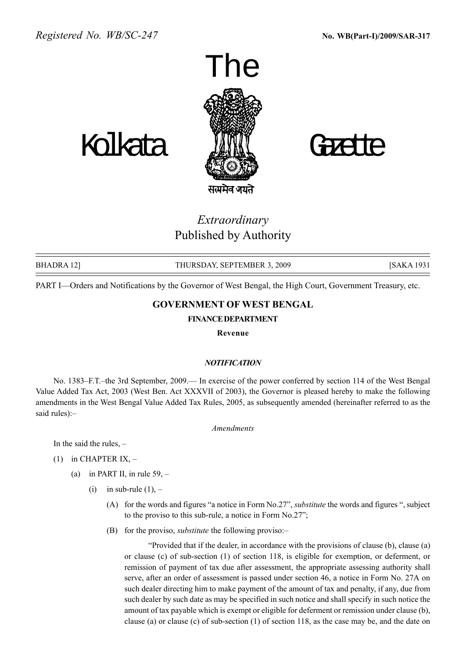



Extraordinary

Published by Authority

BHADRA 12] THURSDAY, SEPTEMBER 3, 2009 [SAKA 1931

PART I—Orders and Notifications by the Governor of West Bengal, the High Court, Government Treasury, etc.

### GOVERNMENT OF WEST BENGAL

#### FINANCEDEPARTMENT

Revenue

#### **NOTIFICATION**

No. 1383–F.T.–the 3rd September, 2009.— In exercise of the power conferred by section 114 of the West Bengal Value Added Tax Act, 2003 (West Ben. Act XXXVII of 2003), the Governor is pleased hereby to make the following amendments in the West Bengal Value Added Tax Rules, 2005, as subsequently amended (hereinafter referred to as the said rules):-

Amendments

In the said the rules,  $-$ 

- (1) in CHAPTER IX,  $-$ 
	- (a) in PART II, in rule  $59, -$ 
		- (i) in sub-rule  $(1)$ ,
			- (A) for the words and figures "a notice in Form  $No.27$ ", *substitute* the words and figures ", subject to the proviso to this sub-rule, a notice in Form  $No.27$ ;
			- (B) for the proviso, *substitute* the following proviso: $-\frac{1}{2}$

ìProvided that if the dealer, in accordance with the provisions of clause (b), clause (a) or clause (c) of sub-section (1) of section 118, is eligible for exemption, or deferment, or remission of payment of tax due after assessment, the appropriate assessing authority shall serve, after an order of assessment is passed under section 46, a notice in Form No. 27A on such dealer directing him to make payment of the amount of tax and penalty, if any, due from such dealer by such date as may be specified in such notice and shall specify in such notice the amount of tax payable which is exempt or eligible for deferment or remission under clause (b), clause (a) or clause (c) of sub-section (1) of section 118, as the case may be, and the date on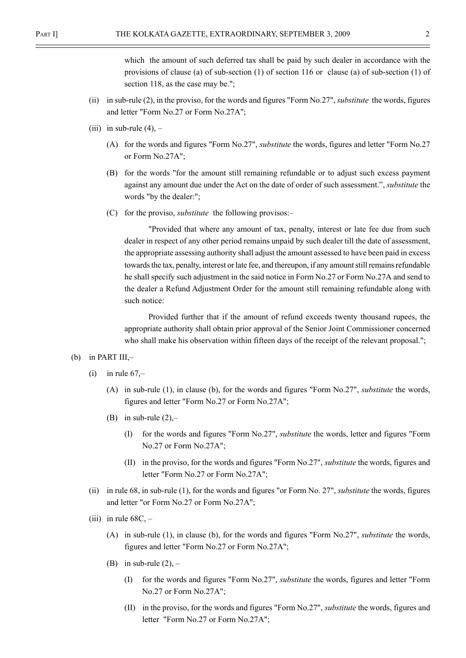which the amount of such deferred tax shall be paid by such dealer in accordance with the provisions of clause (a) of sub-section (1) of section 116 or clause (a) of sub-section (1) of section 118, as the case may be.";

- (ii) in sub-rule (2), in the proviso, for the words and figures "Form No.27", substitute the words, figures and letter "Form No.27 or Form No.27A";
- (iii) in sub-rule  $(4)$ ,
	- (A) for the words and figures "Form No.27", substitute the words, figures and letter "Form No.27 or Form No.27A";
	- (B) for the words "for the amount still remaining refundable or to adjust such excess payment against any amount due under the Act on the date of order of such assessment.", *substitute* the words "by the dealer:";
	- (C) for the proviso, *substitute* the following provisos.—

"Provided that where any amount of tax, penalty, interest or late fee due from such dealer in respect of any other period remains unpaid by such dealer till the date of assessment, the appropriate assessing authority shall adjust the amount assessed to have been paid in excess towards the tax, penalty, interest or late fee, and thereupon, if any amount still remains refundable he shall specify such adjustment in the said notice in Form No.27 or Form No.27A and send to the dealer a Refund Adjustment Order for the amount still remaining refundable along with such notice:

Provided further that if the amount of refund exceeds twenty thousand rupees, the appropriate authority shall obtain prior approval of the Senior Joint Commissioner concerned who shall make his observation within fifteen days of the receipt of the relevant proposal.";

- (b) in PART III, $-$ 
	- (i) in rule  $67$ ,-
		- (A) in sub-rule (1), in clause (b), for the words and figures "Form No.27", substitute the words, figures and letter "Form No.27 or Form No.27A";
		- (B) in sub-rule  $(2)$ ,-
			- (I) for the words and figures "Form No.27", substitute the words, letter and figures "Form No.27 or Form No.27A";
			- (II) in the proviso, for the words and figures "Form No.27", substitute the words, figures and letter "Form No.27 or Form No.27A";
	- (ii) in rule 68, in sub-rule (1), for the words and figures "or Form No. 27", substitute the words, figures and letter "or Form No.27 or Form No.27A";
	- (iii) in rule  $68C, -$ 
		- (A) in sub-rule (1), in clause (b), for the words and figures "Form No.27", substitute the words, figures and letter "Form No.27 or Form No.27A";
		- (B) in sub-rule  $(2)$ ,
			- (I) for the words and figures "Form No.27", substitute the words, figures and letter "Form No.27 or Form No.27A";
			- (II) in the proviso, for the words and figures "Form No.27", substitute the words, figures and letter "Form No.27 or Form No.27A";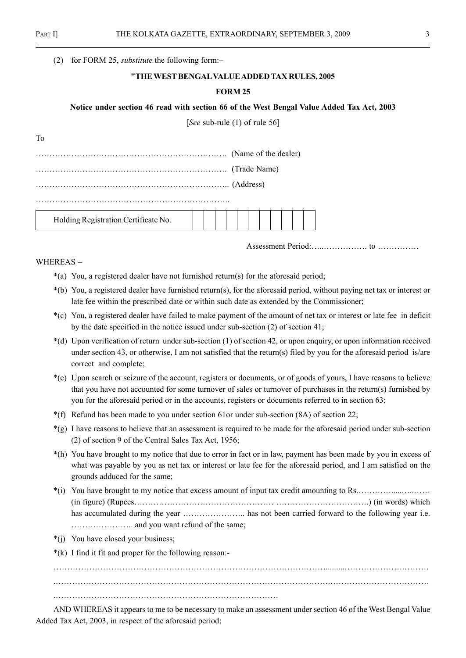To

(2) for FORM 25, *substitute* the following form: $-$ 

#### "THEWEST BENGALVALUEADDED TAX RULES, 2005

#### FORM 25

#### Notice under section 46 read with section 66 of the West Bengal Value Added Tax Act, 2003

[See sub-rule (1) of rule 56]

| Trade Name)                          |  |  |  |  |  |  |
|--------------------------------------|--|--|--|--|--|--|
|                                      |  |  |  |  |  |  |
| Holding Registration Certificate No. |  |  |  |  |  |  |

Assessment Period:Ö..ÖÖÖÖÖ. to ÖÖÖÖÖ

WHEREAS $-$ 

\*(a) You, a registered dealer have not furnished return(s) for the aforesaid period;

- \*(b) You, a registered dealer have furnished return(s), for the aforesaid period, without paying net tax or interest or late fee within the prescribed date or within such date as extended by the Commissioner;
- \*(c) You, a registered dealer have failed to make payment of the amount of net tax or interest or late fee in deficit by the date specified in the notice issued under sub-section (2) of section 41;
- \*(d) Upon verification of return under sub-section (1) of section 42, or upon enquiry, or upon information received under section 43, or otherwise, I am not satisfied that the return(s) filed by you for the aforesaid period is/are correct and complete;
- \*(e) Upon search or seizure of the account, registers or documents, or of goods of yours, I have reasons to believe that you have not accounted for some turnover of sales or turnover of purchases in the return(s) furnished by you for the aforesaid period or in the accounts, registers or documents referred to in section 63;
- \*(f) Refund has been made to you under section 61or under sub-section (8A) of section 22;
- \*(g) I have reasons to believe that an assessment is required to be made for the aforesaid period under sub-section (2) of section 9 of the Central Sales Tax Act, 1956;
- \*(h) You have brought to my notice that due to error in fact or in law, payment has been made by you in excess of what was payable by you as net tax or interest or late fee for the aforesaid period, and I am satisfied on the grounds adduced for the same;
- $*(i)$  You have brought to my notice that excess amount of input tax credit amounting to Rs. (in figure) (RupeesÖÖÖÖÖÖÖÖÖÖÖÖÖÖÖÖÖ ÖÖÖÖÖÖÖÖÖÖÖ.) (in words) which has accumulated during the year  $\dots\dots\dots\dots\dots\dots$  has not been carried forward to the following year i.e. ÖÖÖÖÖÖÖ.. and you want refund of the same;
- \*(j) You have closed your business;
- \*(k) I find it fit and proper for the following reason:-

ÖÖÖÖÖÖÖÖÖÖÖÖÖÖÖÖÖÖÖÖÖÖÖÖÖÖÖÖÖÖÖÖÖ.........ÖÖÖÖÖÖÖ.ÖÖÖ .ÖÖÖÖÖÖÖÖÖÖÖÖÖÖÖÖÖÖÖÖÖÖÖÖÖÖÖÖÖÖÖÖÖ.ÖÖÖÖÖÖÖÖÖÖÖÖ .ÖÖÖÖÖÖÖÖÖÖÖÖÖÖÖÖÖÖÖÖÖÖÖÖÖÖÖ

AND WHEREAS it appears to me to be necessary to make an assessment under section 46 of the West Bengal Value Added Tax Act, 2003, in respect of the aforesaid period;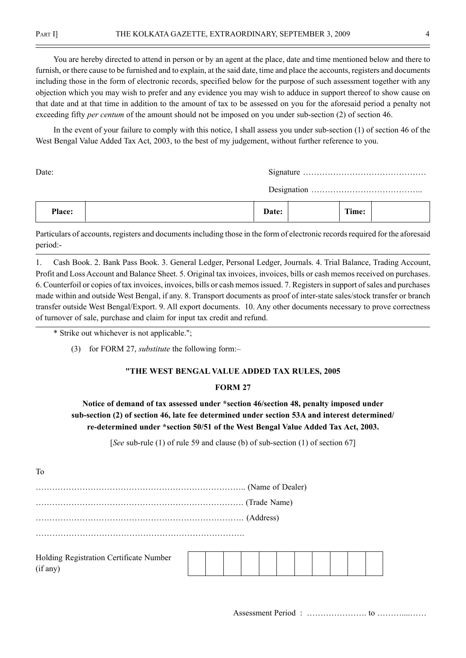You are hereby directed to attend in person or by an agent at the place, date and time mentioned below and there to furnish, or there cause to be furnished and to explain, at the said date, time and place the accounts, registers and documents including those in the form of electronic records, specified below for the purpose of such assessment together with any objection which you may wish to prefer and any evidence you may wish to adduce in support thereof to show cause on that date and at that time in addition to the amount of tax to be assessed on you for the aforesaid period a penalty not exceeding fifty *per centum* of the amount should not be imposed on you under sub-section (2) of section 46.

In the event of your failure to comply with this notice, I shall assess you under sub-section (1) of section 46 of the West Bengal Value Added Tax Act, 2003, to the best of my judgement, without further reference to you.

Date: Signature ÖÖÖÖÖÖÖÖÖÖÖÖÖÖÖ

Designation ÖÖÖÖÖÖÖÖÖÖÖÖÖ..

| Place: | Doto:<br>Date. | rane.<br>fime: |  |
|--------|----------------|----------------|--|
|--------|----------------|----------------|--|

Particulars of accounts, registers and documents including those in the form of electronic records required for the aforesaid period:-

1. Cash Book. 2. Bank Pass Book. 3. General Ledger, Personal Ledger, Journals. 4. Trial Balance, Trading Account, Profit and Loss Account and Balance Sheet. 5. Original tax invoices, invoices, bills or cash memos received on purchases. 6. Counterfoil or copies of tax invoices, invoices, bills or cash memos issued. 7. Registers in support of sales and purchases made within and outside West Bengal, if any. 8. Transport documents as proof of inter-state sales/stock transfer or branch transfer outside West Bengal/Export. 9. All export documents. 10. Any other documents necessary to prove correctness of turnover of sale, purchase and claim for input tax credit and refund.

\* Strike out whichever is not applicable.";

(3) for FORM 27, *substitute* the following form: $-$ 

#### "THE WEST BENGAL VALUE ADDED TAX RULES, 2005

#### FORM 27

## Notice of demand of tax assessed under \*section 46/section 48, penalty imposed under sub-section (2) of section 46, late fee determined under section 53A and interest determined/ re-determined under \*section 50/51 of the West Bengal Value Added Tax Act, 2003.

[See sub-rule (1) of rule 59 and clause (b) of sub-section (1) of section 67]

To

ÖÖÖÖÖÖÖÖÖÖÖÖÖÖÖÖÖÖÖÖÖÖÖÖÖ.. (Name of Dealer)

ÖÖÖÖÖÖÖÖÖÖÖÖÖÖÖÖÖÖÖÖÖÖÖÖÖ. (Trade Name)

ÖÖÖÖÖÖÖÖÖÖÖÖÖÖÖÖÖÖÖÖÖÖÖÖÖ. (Address)

ÖÖÖÖÖÖÖÖÖÖÖÖÖÖÖÖÖÖÖÖÖÖÖÖÖ.

Holding Registration Certificate Number (if any)

Assessment Period : ÖÖÖÖÖÖÖ. to ÖÖÖ....ÖÖ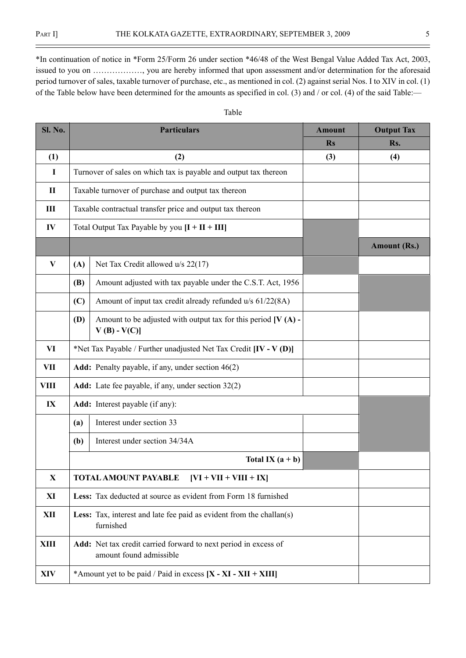$\equiv$ 

\*In continuation of notice in \*Form 25/Form 26 under section \*46/48 of the West Bengal Value Added Tax Act, 2003, issued to you on  $\ldots$ ............., you are hereby informed that upon assessment and/or determination for the aforesaid period turnover of sales, taxable turnover of purchase, etc., as mentioned in col. (2) against serial Nos. I to XIV in col. (1) of the Table below have been determined for the amounts as specified in col. (3) and / or col. (4) of the said Table:—

| <b>Sl. No.</b> |            | <b>Particulars</b>                                                                         | <b>Amount</b> | <b>Output Tax</b>   |
|----------------|------------|--------------------------------------------------------------------------------------------|---------------|---------------------|
|                |            |                                                                                            | <b>Rs</b>     | Rs.                 |
| (1)            |            | (2)                                                                                        | (3)           | (4)                 |
| I              |            | Turnover of sales on which tax is payable and output tax thereon                           |               |                     |
| $\mathbf{I}$   |            | Taxable turnover of purchase and output tax thereon                                        |               |                     |
| III            |            | Taxable contractual transfer price and output tax thereon                                  |               |                     |
| IV             |            | Total Output Tax Payable by you $[I + II + III]$                                           |               |                     |
|                |            |                                                                                            |               | <b>Amount (Rs.)</b> |
| V              | (A)        | Net Tax Credit allowed u/s 22(17)                                                          |               |                     |
|                | <b>(B)</b> | Amount adjusted with tax payable under the C.S.T. Act, 1956                                |               |                     |
|                | (C)        | Amount of input tax credit already refunded u/s 61/22(8A)                                  |               |                     |
|                | <b>(D)</b> | Amount to be adjusted with output tax for this period $[V(A)]$ -<br>$V(B) - V(C)$          |               |                     |
| VI             |            | *Net Tax Payable / Further unadjusted Net Tax Credit $[IV - V (D)]$                        |               |                     |
| <b>VII</b>     |            | Add: Penalty payable, if any, under section 46(2)                                          |               |                     |
| VIII           |            | Add: Late fee payable, if any, under section 32(2)                                         |               |                     |
| IX             |            | <b>Add:</b> Interest payable (if any):                                                     |               |                     |
|                | (a)        | Interest under section 33                                                                  |               |                     |
|                | (b)        | Interest under section 34/34A                                                              |               |                     |
|                |            | Total IX $(a + b)$                                                                         |               |                     |
| $\mathbf X$    |            | $[VI + VII + VIII + IX]$<br><b>TOTAL AMOUNT PAYABLE</b>                                    |               |                     |
| XI             |            | <b>Less:</b> Tax deducted at source as evident from Form 18 furnished                      |               |                     |
| XII            |            | Less: Tax, interest and late fee paid as evident from the challan(s)<br>furnished          |               |                     |
| XIII           |            | Add: Net tax credit carried forward to next period in excess of<br>amount found admissible |               |                     |
| XIV            |            | *Amount yet to be paid / Paid in excess $[X - XI - XII + XIII]$                            |               |                     |

#### Table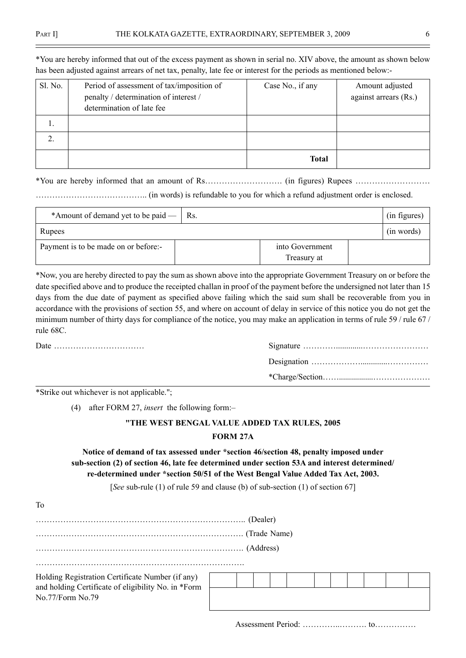| Sl. No. | Period of assessment of tax/imposition of<br>penalty / determination of interest /<br>determination of late fee | Case No., if any | Amount adjusted<br>against arrears (Rs.) |
|---------|-----------------------------------------------------------------------------------------------------------------|------------------|------------------------------------------|
|         |                                                                                                                 |                  |                                          |
|         |                                                                                                                 |                  |                                          |
|         |                                                                                                                 | <b>Total</b>     |                                          |

\*You are hereby informed that out of the excess payment as shown in serial no. XIV above, the amount as shown below has been adjusted against arrears of net tax, penalty, late fee or interest for the periods as mentioned below:-

\*You are hereby informed that an amount of RsÖÖÖÖÖÖÖÖÖ. (in figures) Rupees ÖÖÖÖÖÖÖÖÖ

ÖÖÖÖÖÖÖÖÖÖÖÖÖ.. (in words) is refundable to you for which a refund adjustment order is enclosed.

| *Amount of demand yet to be paid —   | $\vert$ Rs. |                                | (in figures) |
|--------------------------------------|-------------|--------------------------------|--------------|
| Rupees                               |             |                                | (in words)   |
| Payment is to be made on or before:- |             | into Government<br>Treasury at |              |

\*Now, you are hereby directed to pay the sum as shown above into the appropriate Government Treasury on or before the date specified above and to produce the receipted challan in proof of the payment before the undersigned not later than 15 days from the due date of payment as specified above failing which the said sum shall be recoverable from you in accordance with the provisions of section 55, and where on account of delay in service of this notice you do not get the minimum number of thirty days for compliance of the notice, you may make an application in terms of rule 59 / rule 67 / rule 68C.

\*Strike out whichever is not applicable.";

(4) after FORM 27, insert the following form: $-$ 

# "THE WEST BENGAL VALUE ADDED TAX RULES, 2005

#### FORM 27A

## Notice of demand of tax assessed under \*section 46/section 48, penalty imposed under sub-section (2) of section 46, late fee determined under section 53A and interest determined/ re-determined under \*section 50/51 of the West Bengal Value Added Tax Act, 2003.

[See sub-rule (1) of rule 59 and clause (b) of sub-section (1) of section 67]

| To                                                                                                      |  |           |  |  |  |  |
|---------------------------------------------------------------------------------------------------------|--|-----------|--|--|--|--|
|                                                                                                         |  | (Dealer)  |  |  |  |  |
|                                                                                                         |  |           |  |  |  |  |
|                                                                                                         |  | (Address) |  |  |  |  |
|                                                                                                         |  |           |  |  |  |  |
| Holding Registration Certificate Number (if any)<br>and holding Certificate of eligibility No. in *Form |  |           |  |  |  |  |
| No.77/Form No.79                                                                                        |  |           |  |  |  |  |

Assessment Period: ÖÖÖÖ..ÖÖÖ. toÖÖÖÖÖ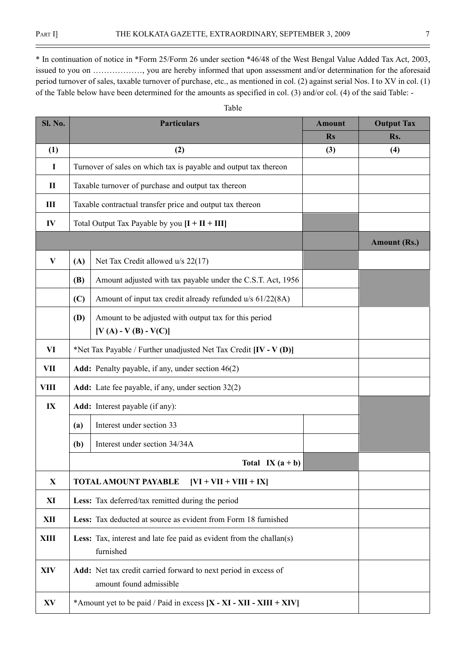$\equiv$ 

\* In continuation of notice in \*Form 25/Form 26 under section \*46/48 of the West Bengal Value Added Tax Act, 2003, issued to you on  $\ldots$ ............., you are hereby informed that upon assessment and/or determination for the aforesaid period turnover of sales, taxable turnover of purchase, etc., as mentioned in col. (2) against serial Nos. I to XV in col. (1) of the Table below have been determined for the amounts as specified in col. (3) and/or col. (4) of the said Table: -

Table

| Sl. No.      |     | <b>Particulars</b>                                                                         |           | <b>Output Tax</b>   |
|--------------|-----|--------------------------------------------------------------------------------------------|-----------|---------------------|
|              |     |                                                                                            | <b>Rs</b> | Rs.                 |
| (1)          |     | (2)                                                                                        | (3)       | (4)                 |
| $\mathbf I$  |     | Turnover of sales on which tax is payable and output tax thereon                           |           |                     |
| $\mathbf{I}$ |     | Taxable turnover of purchase and output tax thereon                                        |           |                     |
| III          |     | Taxable contractual transfer price and output tax thereon                                  |           |                     |
| IV           |     | Total Output Tax Payable by you $[I + II + III]$                                           |           |                     |
|              |     |                                                                                            |           | <b>Amount (Rs.)</b> |
| $\bf{V}$     | (A) | Net Tax Credit allowed u/s 22(17)                                                          |           |                     |
|              | (B) | Amount adjusted with tax payable under the C.S.T. Act, 1956                                |           |                     |
|              | (C) | Amount of input tax credit already refunded u/s 61/22(8A)                                  |           |                     |
|              | (D) | Amount to be adjusted with output tax for this period                                      |           |                     |
|              |     | $[V (A) - V (B) - V (C)]$                                                                  |           |                     |
| VI           |     | *Net Tax Payable / Further unadjusted Net Tax Credit $[IV - V (D)]$                        |           |                     |
| <b>VII</b>   |     | Add: Penalty payable, if any, under section 46(2)                                          |           |                     |
| VIII         |     | Add: Late fee payable, if any, under section 32(2)                                         |           |                     |
| IX           |     | Add: Interest payable (if any):                                                            |           |                     |
|              | (a) | Interest under section 33                                                                  |           |                     |
|              | (b) | Interest under section 34/34A                                                              |           |                     |
|              |     | Total IX $(a + b)$                                                                         |           |                     |
| $\mathbf X$  |     | $[VI + VII + VIII + IX]$<br>TOTAL AMOUNT PAYABLE                                           |           |                     |
| XI           |     | Less: Tax deferred/tax remitted during the period                                          |           |                     |
| <b>XII</b>   |     | Less: Tax deducted at source as evident from Form 18 furnished                             |           |                     |
| <b>XIII</b>  |     | Less: Tax, interest and late fee paid as evident from the challan(s)<br>furnished          |           |                     |
| <b>XIV</b>   |     | Add: Net tax credit carried forward to next period in excess of<br>amount found admissible |           |                     |
| XV           |     | *Amount yet to be paid / Paid in excess $[X - XI - XII - XIII + XIV]$                      |           |                     |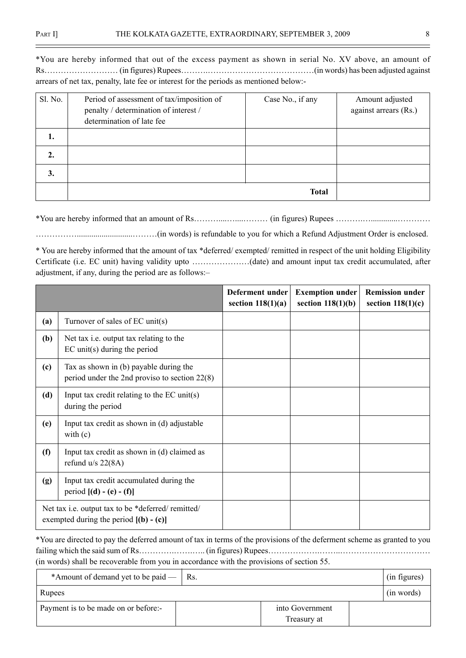\*You are hereby informed that out of the excess payment as shown in serial No. XV above, an amount of RsÖÖÖÖÖÖÖÖÖ (in figures) RupeesÖÖÖ.ÖÖÖÖÖÖÖÖÖÖÖÖÖ(in words) has been adjusted against arrears of net tax, penalty, late fee or interest for the periods as mentioned below:-

| Sl. No.          | Period of assessment of tax/imposition of<br>penalty / determination of interest /<br>determination of late fee | Case No., if any | Amount adjusted<br>against arrears (Rs.) |
|------------------|-----------------------------------------------------------------------------------------------------------------|------------------|------------------------------------------|
| 1.               |                                                                                                                 |                  |                                          |
| $\overline{2}$ . |                                                                                                                 |                  |                                          |
| 3.               |                                                                                                                 |                  |                                          |
|                  |                                                                                                                 | <b>Total</b>     |                                          |

\*You are hereby informed that an amount of RsÖÖÖ....Ö....ÖÖÖ (in figures) Rupees ÖÖÖ.Ö.............ÖÖÖÖ

ÖÖÖÖÖ...........................ÖÖÖ(in words) is refundable to you for which a Refund Adjustment Order is enclosed.

\* You are hereby informed that the amount of tax \*deferred/ exempted/ remitted in respect of the unit holding Eligibility Certificate (i.e. EC unit) having validity upto ÖÖÖÖÖÖÖ(date) and amount input tax credit accumulated, after adjustment, if any, during the period are as follows:-

|     |                                                                                                | Deferment under<br>section $118(1)(a)$ | <b>Exemption under</b><br>section $118(1)(b)$ | <b>Remission under</b><br>section $118(1)(c)$ |
|-----|------------------------------------------------------------------------------------------------|----------------------------------------|-----------------------------------------------|-----------------------------------------------|
| (a) | Turnover of sales of EC unit(s)                                                                |                                        |                                               |                                               |
| (b) | Net tax i.e. output tax relating to the<br>$EC$ unit(s) during the period                      |                                        |                                               |                                               |
| (c) | Tax as shown in (b) payable during the<br>period under the 2nd proviso to section $22(8)$      |                                        |                                               |                                               |
| (d) | Input tax credit relating to the $EC$ unit(s)<br>during the period                             |                                        |                                               |                                               |
| (e) | Input tax credit as shown in (d) adjustable<br>with $(c)$                                      |                                        |                                               |                                               |
| (f) | Input tax credit as shown in (d) claimed as<br>refund $u/s$ 22(8A)                             |                                        |                                               |                                               |
| (g) | Input tax credit accumulated during the<br>period $[(d) - (e) - (f)]$                          |                                        |                                               |                                               |
|     | Net tax i.e. output tax to be *deferred/ remitted/<br>exempted during the period $[(b) - (c)]$ |                                        |                                               |                                               |

\*You are directed to pay the deferred amount of tax in terms of the provisions of the deferment scheme as granted to you failing which the said sum of RsÖÖÖÖ.ÖÖ.Ö.. (in figures) RupeesÖÖÖÖÖÖ.ÖÖ..ÖÖÖÖÖÖÖÖÖÖÖ (in words) shall be recoverable from you in accordance with the provisions of section 55.

| *Amount of demand yet to be paid $-$   Rs. |                                | (in figures) |
|--------------------------------------------|--------------------------------|--------------|
| Rupees                                     |                                | (in words)   |
| Payment is to be made on or before:-       | into Government<br>Treasury at |              |